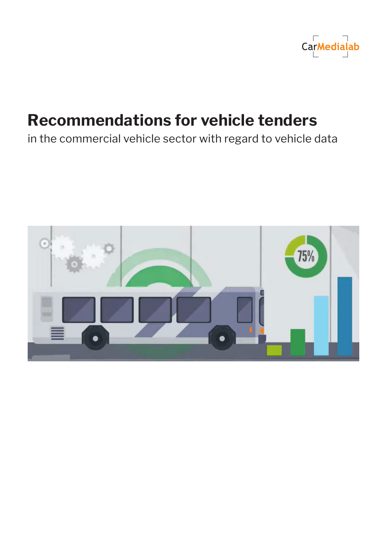

# **Recommendations for vehicle tenders**

in the commercial vehicle sector with regard to vehicle data

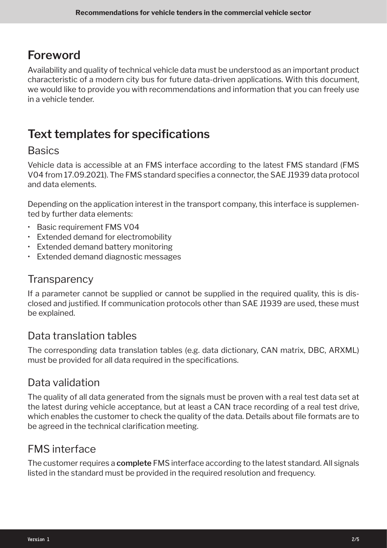### **Foreword**

Availability and quality of technical vehicle data must be understood as an important product characteristic of a modern city bus for future data-driven applications. With this document, we would like to provide you with recommendations and information that you can freely use in a vehicle tender.

# **Text templates for specifications**

#### **Basics**

Vehicle data is accessible at an FMS interface according to the latest FMS standard (FMS V04 from 17.09.2021). The FMS standard specifies a connector, the SAE J1939 data protocol and data elements.

Depending on the application interest in the transport company, this interface is supplemented by further data elements:

- Basic requirement FMS V04
- Extended demand for electromobility
- Extended demand battery monitoring
- Extended demand diagnostic messages

#### **Transparency**

If a parameter cannot be supplied or cannot be supplied in the required quality, this is disclosed and justified. If communication protocols other than SAE J1939 are used, these must be explained.

#### Data translation tables

The corresponding data translation tables (e.g. data dictionary, CAN matrix, DBC, ARXML) must be provided for all data required in the specifications.

#### Data validation

The quality of all data generated from the signals must be proven with a real test data set at the latest during vehicle acceptance, but at least a CAN trace recording of a real test drive, which enables the customer to check the quality of the data. Details about file formats are to be agreed in the technical clarification meeting.

#### FMS interface

The customer requires a **complete** FMS interface according to the latest standard. All signals listed in the standard must be provided in the required resolution and frequency.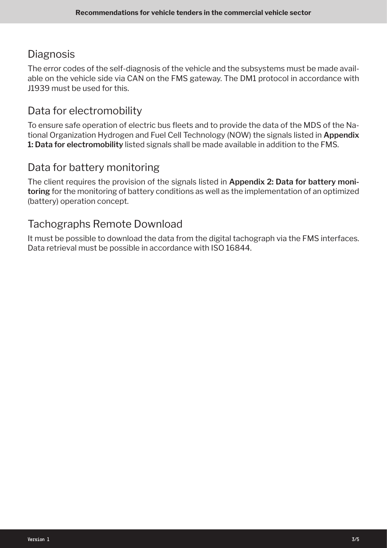### **Diagnosis**

The error codes of the self-diagnosis of the vehicle and the subsystems must be made available on the vehicle side via CAN on the FMS gateway. The DM1 protocol in accordance with J1939 must be used for this.

### Data for electromobility

To ensure safe operation of electric bus fleets and to provide the data of the MDS of the National Organization Hydrogen and Fuel Cell Technology (NOW) the signals listed in **Appendix 1: Data for electromobility** listed signals shall be made available in addition to the FMS.

#### Data for battery monitoring

The client requires the provision of the signals listed in **Appendix 2: Data for battery monitoring** for the monitoring of battery conditions as well as the implementation of an optimized (battery) operation concept.

#### Tachographs Remote Download

It must be possible to download the data from the digital tachograph via the FMS interfaces. Data retrieval must be possible in accordance with ISO 16844.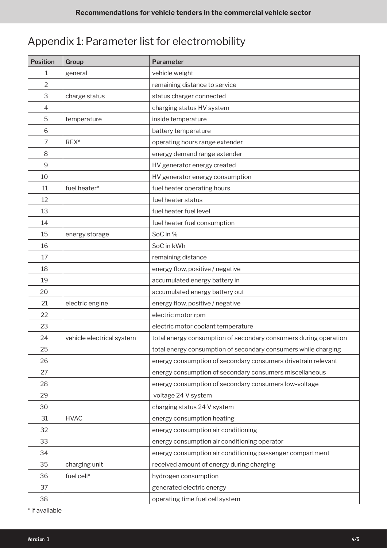# Appendix 1: Parameter list for electromobility

| <b>Position</b> | Group                     | Parameter                                                        |
|-----------------|---------------------------|------------------------------------------------------------------|
| 1               | general                   | vehicle weight                                                   |
| $\overline{2}$  |                           | remaining distance to service                                    |
| 3               | charge status             | status charger connected                                         |
| 4               |                           | charging status HV system                                        |
| 5               | temperature               | inside temperature                                               |
| 6               |                           | battery temperature                                              |
| 7               | REX*                      | operating hours range extender                                   |
| 8               |                           | energy demand range extender                                     |
| 9               |                           | HV generator energy created                                      |
| 10              |                           | HV generator energy consumption                                  |
| 11              | fuel heater*              | fuel heater operating hours                                      |
| 12              |                           | fuel heater status                                               |
| 13              |                           | fuel heater fuel level                                           |
| 14              |                           | fuel heater fuel consumption                                     |
| 15              | energy storage            | SoC in %                                                         |
| 16              |                           | SoC in kWh                                                       |
| 17              |                           | remaining distance                                               |
| 18              |                           | energy flow, positive / negative                                 |
| 19              |                           | accumulated energy battery in                                    |
| 20              |                           | accumulated energy battery out                                   |
| 21              | electric engine           | energy flow, positive / negative                                 |
| 22              |                           | electric motor rpm                                               |
| 23              |                           | electric motor coolant temperature                               |
| 24              | vehicle electrical system | total energy consumption of secondary consumers during operation |
| 25              |                           | total energy consumption of secondary consumers while charging   |
| 26              |                           | energy consumption of secondary consumers drivetrain relevant    |
| 27              |                           | energy consumption of secondary consumers miscellaneous          |
| 28              |                           | energy consumption of secondary consumers low-voltage            |
| 29              |                           | voltage 24 V system                                              |
| 30              |                           | charging status 24 V system                                      |
| 31              | <b>HVAC</b>               | energy consumption heating                                       |
| 32              |                           | energy consumption air conditioning                              |
| 33              |                           | energy consumption air conditioning operator                     |
| 34              |                           | energy consumption air conditioning passenger compartment        |
| 35              | charging unit             | received amount of energy during charging                        |
| 36              | fuel cell*                | hydrogen consumption                                             |
| 37              |                           | generated electric energy                                        |
| 38              |                           | operating time fuel cell system                                  |

\* if available